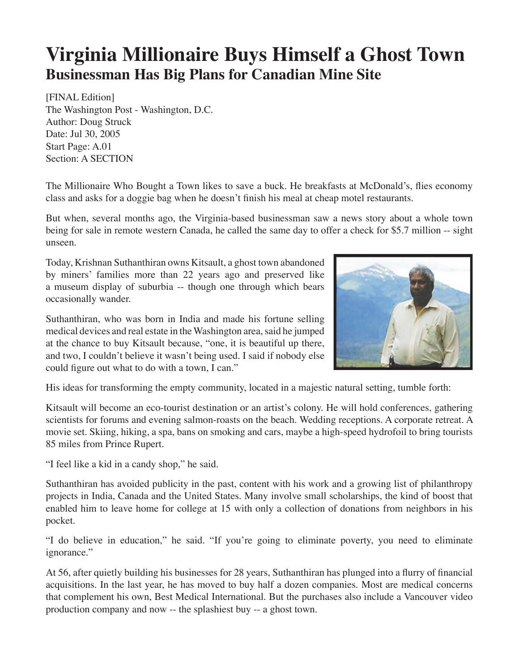## **Virginia Millionaire Buys Himself a Ghost Town Businessman Has Big Plans for Canadian Mine Site**

[FINAL Edition] The Washington Post - Washington, D.C. Author: Doug Struck Date: Jul 30, 2005 Start Page: A.01 Section: A SECTION

The Millionaire Who Bought a Town likes to save a buck. He breakfasts at McDonald's, flies economy class and asks for a doggie bag when he doesn't finish his meal at cheap motel restaurants.

But when, several months ago, the Virginia-based businessman saw a news story about a whole town being for sale in remote western Canada, he called the same day to offer a check for \$5.7 million -- sight unseen.

Today, Krishnan Suthanthiran owns Kitsault, a ghost town abandoned by miners' families more than 22 years ago and preserved like a museum display of suburbia -- though one through which bears occasionally wander.

Suthanthiran, who was born in India and made his fortune selling medical devices and real estate in the Washington area, said he jumped at the chance to buy Kitsault because, "one, it is beautiful up there, and two, I couldn't believe it wasn't being used. I said if nobody else could figure out what to do with a town, I can."



His ideas for transforming the empty community, located in a majestic natural setting, tumble forth:

Kitsault will become an eco-tourist destination or an artist's colony. He will hold conferences, gathering scientists for forums and evening salmon-roasts on the beach. Wedding receptions. A corporate retreat. A movie set. Skiing, hiking, a spa, bans on smoking and cars, maybe a high-speed hydrofoil to bring tourists 85 miles from Prince Rupert.

"I feel like a kid in a candy shop," he said.

Suthanthiran has avoided publicity in the past, content with his work and a growing list of philanthropy projects in India, Canada and the United States. Many involve small scholarships, the kind of boost that enabled him to leave home for college at 15 with only a collection of donations from neighbors in his pocket.

"I do believe in education," he said. "If you're going to eliminate poverty, you need to eliminate ignorance."

At 56, after quietly building his businesses for 28 years, Suthanthiran has plunged into a flurry of financial acquisitions. In the last year, he has moved to buy half a dozen companies. Most are medical concerns that complement his own, Best Medical International. But the purchases also include a Vancouver video production company and now -- the splashiest buy -- a ghost town.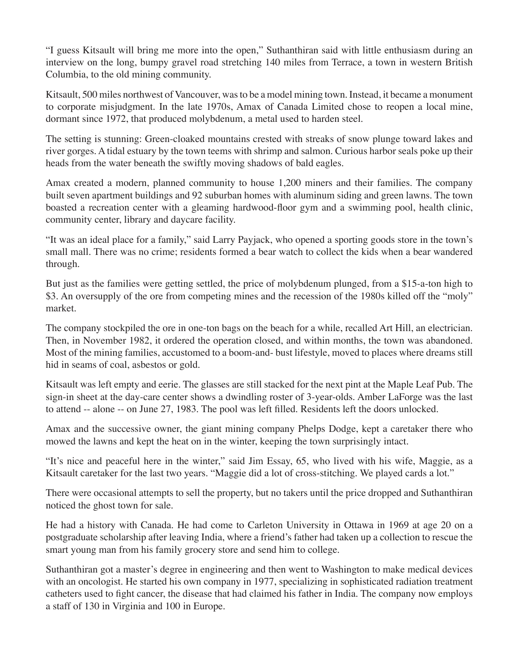"I guess Kitsault will bring me more into the open," Suthanthiran said with little enthusiasm during an interview on the long, bumpy gravel road stretching 140 miles from Terrace, a town in western British Columbia, to the old mining community.

Kitsault, 500 miles northwest of Vancouver, was to be a model mining town. Instead, it became a monument to corporate misjudgment. In the late 1970s, Amax of Canada Limited chose to reopen a local mine, dormant since 1972, that produced molybdenum, a metal used to harden steel.

The setting is stunning: Green-cloaked mountains crested with streaks of snow plunge toward lakes and river gorges. A tidal estuary by the town teems with shrimp and salmon. Curious harbor seals poke up their heads from the water beneath the swiftly moving shadows of bald eagles.

Amax created a modern, planned community to house 1,200 miners and their families. The company built seven apartment buildings and 92 suburban homes with aluminum siding and green lawns. The town boasted a recreation center with a gleaming hardwood-floor gym and a swimming pool, health clinic, community center, library and daycare facility.

"It was an ideal place for a family," said Larry Payjack, who opened a sporting goods store in the town's small mall. There was no crime; residents formed a bear watch to collect the kids when a bear wandered through.

But just as the families were getting settled, the price of molybdenum plunged, from a \$15-a-ton high to \$3. An oversupply of the ore from competing mines and the recession of the 1980s killed off the "moly" market.

The company stockpiled the ore in one-ton bags on the beach for a while, recalled Art Hill, an electrician. Then, in November 1982, it ordered the operation closed, and within months, the town was abandoned. Most of the mining families, accustomed to a boom-and- bust lifestyle, moved to places where dreams still hid in seams of coal, asbestos or gold.

Kitsault was left empty and eerie. The glasses are still stacked for the next pint at the Maple Leaf Pub. The sign-in sheet at the day-care center shows a dwindling roster of 3-year-olds. Amber LaForge was the last to attend -- alone -- on June 27, 1983. The pool was left filled. Residents left the doors unlocked.

Amax and the successive owner, the giant mining company Phelps Dodge, kept a caretaker there who mowed the lawns and kept the heat on in the winter, keeping the town surprisingly intact.

"It's nice and peaceful here in the winter," said Jim Essay, 65, who lived with his wife, Maggie, as a Kitsault caretaker for the last two years. "Maggie did a lot of cross-stitching. We played cards a lot."

There were occasional attempts to sell the property, but no takers until the price dropped and Suthanthiran noticed the ghost town for sale.

He had a history with Canada. He had come to Carleton University in Ottawa in 1969 at age 20 on a postgraduate scholarship after leaving India, where a friend's father had taken up a collection to rescue the smart young man from his family grocery store and send him to college.

Suthanthiran got a master's degree in engineering and then went to Washington to make medical devices with an oncologist. He started his own company in 1977, specializing in sophisticated radiation treatment catheters used to fight cancer, the disease that had claimed his father in India. The company now employs a staff of 130 in Virginia and 100 in Europe.